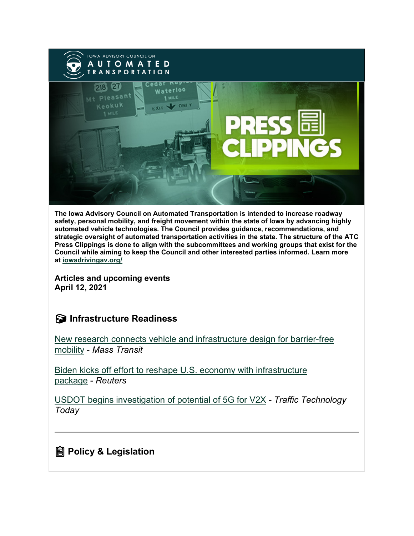

**The Iowa Advisory Council on Automated Transportation is intended to increase roadway safety, personal mobility, and freight movement within the state of Iowa by advancing highly automated vehicle technologies. The Council provides guidance, recommendations, and strategic oversight of automated transportation activities in the state. The structure of the ATC Press Clippings is done to align with the subcommittees and working groups that exist for the Council while aiming to keep the Council and other interested parties informed. Learn more at [iowadrivingav.org/](https://iowadrivingav.org/?utm_medium=email&utm_source=govdelivery)**

**Articles and upcoming events April 12, 2021**

## **S** Infrastructure Readiness

[New research connects vehicle and infrastructure design for barrier-free](https://www.masstransitmag.com/alt-mobility/shared-mobility/press-release/21216157/intelligent-transportation-society-of-america-its-america-new-research-connects-vehicle-and-infrastructure-design-for-barrierfree-mobility?utm_medium=email&utm_source=govdelivery)  [mobility](https://www.masstransitmag.com/alt-mobility/shared-mobility/press-release/21216157/intelligent-transportation-society-of-america-its-america-new-research-connects-vehicle-and-infrastructure-design-for-barrierfree-mobility?utm_medium=email&utm_source=govdelivery) - *Mass Transit*

[Biden kicks off effort to reshape U.S. economy with infrastructure](https://www.reuters.com/article/usa-biden-infrastructure/biden-kicks-off-effort-to-reshape-u-s-economy-with-infrastructure-package-idUSL1N2LS2M5?utm_medium=email&utm_source=govdelivery)  [package](https://www.reuters.com/article/usa-biden-infrastructure/biden-kicks-off-effort-to-reshape-u-s-economy-with-infrastructure-package-idUSL1N2LS2M5?utm_medium=email&utm_source=govdelivery) - *Reuters*

[USDOT begins investigation of potential of 5G for V2X](https://www.traffictechnologytoday.com/news/connected-vehicles-infrastructure/usdot-begins-investigation-of-potential-of-5g-for-v2x.html?utm_medium=email&utm_source=govdelivery) *- Traffic Technology Today*

#### **Policy & Legislation**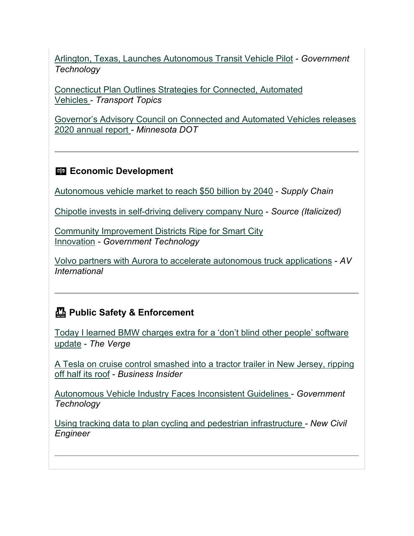[Arlington, Texas, Launches Autonomous Transit Vehicle Pilot](https://www.govtech.com/fs/Texas-City-Launches-Autonomous-Transit-Vehicles.html?utm_medium=email&utm_source=govdelivery) - *Government Technology*

[Connecticut Plan Outlines Strategies for Connected, Automated](https://www.ttnews.com/articles/connecticut-plan-outlines-strategies-connected-automated-vehicles?utm_medium=email&utm_source=govdelivery)  [Vehicles](https://www.ttnews.com/articles/connecticut-plan-outlines-strategies-connected-automated-vehicles?utm_medium=email&utm_source=govdelivery) - *Transport Topics*

[Governor's Advisory Council on Connected and Automated Vehicles releases](https://www.dot.state.mn.us/news/2021/04/05-cav.html?utm_medium=email&utm_source=govdelivery)  [2020 annual report](https://www.dot.state.mn.us/news/2021/04/05-cav.html?utm_medium=email&utm_source=govdelivery) *- Minnesota DOT*

#### **Economic Development**

[Autonomous vehicle market to reach \\$50 billion by](https://www.supplychainquarterly.com/articles/4548-autonomous-vehicle-market-to-reach-50-billion-by-2040?utm_medium=email&utm_source=govdelivery) 2040 - *Supply Chain*

[Chipotle invests in self-driving delivery company Nuro](https://www.restaurantdive.com/news/chipotle-invests-in-self-driving-delivery-company-nuro/597339/?utm_medium=email&utm_source=govdelivery) - *Source (Italicized)*

[Community Improvement Districts Ripe for Smart City](https://www.govtech.com/fs/Community-Improvement-Districts-Ripe-for-Smart-City-Innovation.html?utm_medium=email&utm_source=govdelivery)  [Innovation](https://www.govtech.com/fs/Community-Improvement-Districts-Ripe-for-Smart-City-Innovation.html?utm_medium=email&utm_source=govdelivery) *- Government Technology*

[Volvo partners with Aurora to accelerate autonomous truck applications](https://www.autonomousvehicleinternational.com/news/business/volvo-partners-with-aurora-to-accelerate-hub-to-hub-autonomous-truck-applications.html?utm_medium=email&utm_source=govdelivery) - *AV International*

## **Public Safety & Enforcement**

[Today I learned BMW charges extra for a 'don't blind other people' software](https://www.theverge.com/2021/3/28/22351901/bmw-high-beam-assist-assistant-dlc-paid-update-ota?utm_medium=email&utm_source=govdelivery)  [update](https://www.theverge.com/2021/3/28/22351901/bmw-high-beam-assist-assistant-dlc-paid-update-ota?utm_medium=email&utm_source=govdelivery) - *The Verge*

[A Tesla on cruise control smashed into a tractor trailer in New Jersey, ripping](https://www.businessinsider.com/tesla-using-cruise-control-crashed-tractor-trailer-new-jersey-2021-3?utm_medium=email&utm_source=govdelivery)  [off half its roof](https://www.businessinsider.com/tesla-using-cruise-control-crashed-tractor-trailer-new-jersey-2021-3?utm_medium=email&utm_source=govdelivery) - *Business Insider*

[Autonomous Vehicle Industry Faces Inconsistent Guidelines](https://www.govtech.com/policy/Autonomous-Vehicle-Industry-Faces-Inconsistent-Guidelines.html?utm_medium=email&utm_source=govdelivery) - *Government Technology*

[Using tracking data to plan cycling and pedestrian infrastructure](https://www.newcivilengineer.com/innovative-thinking/using-tracking-data-to-plan-cycling-and-pedestrian-infrastructure-06-04-2021/?utm_medium=email&utm_source=govdelivery) *- New Civil Engineer*